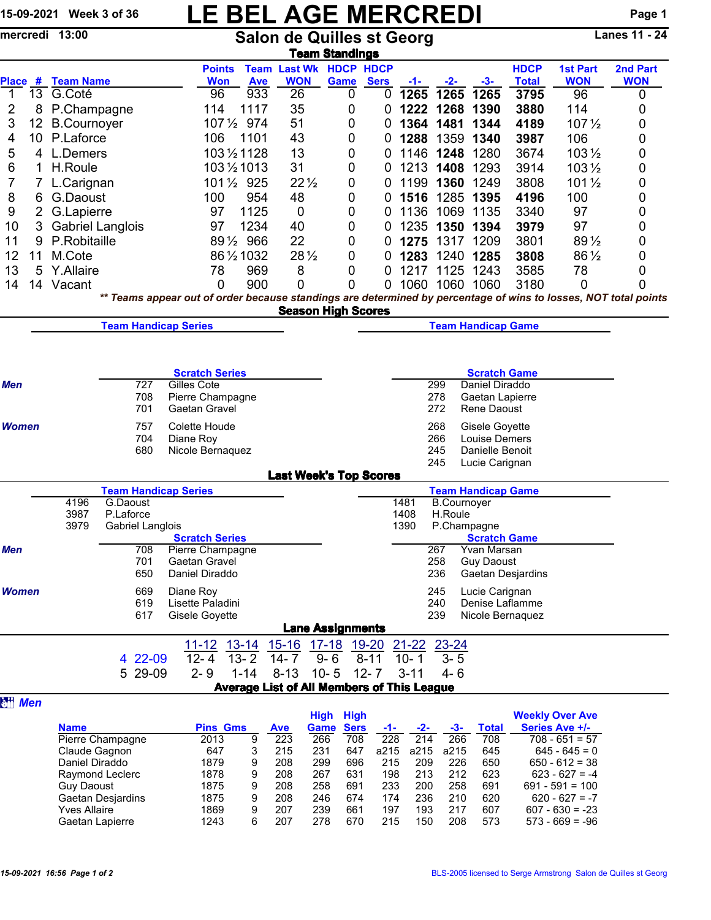## 15-09-2021 Week 3 of 36  $\begin{array}{c|c|c|c} \text{LE BELAGE MERCREDI} \ \text{mercredi} & \text{13:00} \end{array}$  Page 1

Salon de Quilles st Georg **Team Standings** 

|                               |                 |                                                          |                  |            | <b>Points</b>                   |                                                   | <b>Team Last Wk</b> |                                        | <b>HDCP HDCP</b>              |                  |                |                    |                                   | <b>HDCP</b>              | <b>1st Part</b>                          | 2nd Part                                                                                                        |
|-------------------------------|-----------------|----------------------------------------------------------|------------------|------------|---------------------------------|---------------------------------------------------|---------------------|----------------------------------------|-------------------------------|------------------|----------------|--------------------|-----------------------------------|--------------------------|------------------------------------------|-----------------------------------------------------------------------------------------------------------------|
| 1                             |                 | Place # Team Name<br>13 G.Coté                           |                  |            | <b>Won</b><br>96                | <b>Ave</b><br>933                                 | <b>WON</b><br>26    | Game                                   | 0                             | <b>Sers</b><br>0 | $-1-$<br>1265  | <u>-2-</u><br>1265 | $-3-$<br>1265                     | <b>Total</b><br>3795     | <b>WON</b><br>96                         | <b>WON</b><br>0                                                                                                 |
| 2                             | 8               | P.Champagne                                              |                  |            | 114                             | 1117                                              | 35                  |                                        | 0                             | 0                | 1222           | 1268               | 1390                              | 3880                     | 114                                      | 0                                                                                                               |
| 3                             | 12 <sub>2</sub> | <b>B.Cournoyer</b>                                       |                  |            |                                 | 107 1/2 974                                       | 51                  |                                        | 0                             | 0                | 1364           | 1481               | 1344                              | 4189                     | $107\frac{1}{2}$                         | 0                                                                                                               |
| 4                             |                 | 10 P.Laforce                                             |                  |            | 106                             | 1101                                              | 43                  |                                        | 0                             | 0                | 1288           |                    | 1359 1340                         | 3987                     | 106                                      | 0                                                                                                               |
| 5                             |                 | 4 L.Demers                                               |                  |            |                                 | 103 1/2 1128                                      | 13                  |                                        | 0                             | 0                |                | 1146 1248          | 1280                              | 3674                     | $103\frac{1}{2}$                         | 0                                                                                                               |
| 6                             | 1               | H.Roule                                                  |                  |            |                                 | 103 1/2 1013                                      | 31                  |                                        | 0                             | 0                | 1213           | 1408               | 1293                              | 3914                     | $103\frac{1}{2}$                         | 0                                                                                                               |
| 7                             |                 | 7 L.Carignan                                             |                  |            |                                 | 101 1/2 925                                       | $22\frac{1}{2}$     |                                        | 0                             | 0                | 1199           | 1360               | 1249                              | 3808                     | $101\frac{1}{2}$                         | 0                                                                                                               |
| 8                             | 6               | G.Daoust                                                 |                  |            | 100                             | 954                                               | 48                  |                                        | 0                             | 0                | 1516           |                    | 1285 1395                         | 4196                     | 100                                      | 0                                                                                                               |
| 9                             |                 | 2 G.Lapierre                                             |                  |            | 97                              | 1125                                              | 0                   |                                        | 0                             | 0                | 1136           |                    | 1069 1135                         | 3340                     | 97                                       | 0                                                                                                               |
| 10                            | 3               | <b>Gabriel Langlois</b>                                  |                  |            | 97                              | 1234                                              | 40                  |                                        | 0                             | 0                | 1235           | 1350               | 1394                              | 3979                     | 97                                       | 0                                                                                                               |
| 11                            | 9               | P.Robitaille                                             |                  |            |                                 | 891/2 966                                         | 22                  |                                        | 0                             | 0                | 1275           |                    | 1317 1209                         | 3801                     | 89 1/2                                   | 0                                                                                                               |
| 12                            | 11              | M.Cote                                                   |                  |            |                                 | 86 1/2 1032                                       | 28 1/2              |                                        | 0                             | 0                | 1283           |                    | 1240 1285                         | 3808                     | 86 1/2                                   | 0                                                                                                               |
| 13                            | 5               | Y.Allaire                                                |                  |            | 78                              | 969                                               | 8                   |                                        | 0                             | 0                | 1217           |                    | 1125 1243                         | 3585                     | 78                                       | 0                                                                                                               |
| 14                            |                 | 14 Vacant                                                |                  |            | 0                               | 900                                               | 0                   |                                        | 0                             | 0                |                |                    | 1060 1060 1060                    | 3180                     | 0                                        | 0                                                                                                               |
|                               |                 |                                                          |                  |            |                                 |                                                   |                     | <b>Season High Scores</b>              |                               |                  |                |                    |                                   |                          |                                          | ** Teams appear out of order because standings are determined by percentage of wins to losses, NOT total points |
|                               |                 |                                                          |                  |            | <b>Team Handicap Series</b>     |                                                   |                     |                                        |                               |                  |                |                    | <b>Team Handicap Game</b>         |                          |                                          |                                                                                                                 |
|                               |                 |                                                          |                  |            |                                 |                                                   |                     |                                        |                               |                  |                |                    |                                   |                          |                                          |                                                                                                                 |
|                               |                 |                                                          |                  |            |                                 |                                                   |                     |                                        |                               |                  |                |                    |                                   |                          |                                          |                                                                                                                 |
|                               |                 |                                                          |                  |            | <b>Scratch Series</b>           |                                                   |                     |                                        |                               |                  |                |                    | <b>Scratch Game</b>               |                          |                                          |                                                                                                                 |
| Men                           |                 |                                                          |                  | 727        | Gilles Cote                     |                                                   |                     |                                        |                               |                  |                | 299                | Daniel Diraddo                    |                          |                                          |                                                                                                                 |
|                               |                 |                                                          |                  | 708        | Pierre Champagne                |                                                   |                     |                                        |                               |                  |                | 278                | Gaetan Lapierre                   |                          |                                          |                                                                                                                 |
| Women                         |                 | 701                                                      |                  |            | Gaetan Gravel                   |                                                   |                     | 272<br>Rene Daoust                     |                               |                  |                |                    |                                   |                          |                                          |                                                                                                                 |
|                               |                 | 757                                                      |                  |            | Colette Houde                   |                                                   |                     | 268<br>Gisele Goyette<br>Louise Demers |                               |                  |                |                    |                                   |                          |                                          |                                                                                                                 |
|                               |                 | 704<br>680                                               |                  |            | Diane Roy                       | Nicole Bernaquez                                  |                     |                                        | 266<br>Danielle Benoit<br>245 |                  |                |                    |                                   |                          |                                          |                                                                                                                 |
|                               |                 |                                                          |                  |            |                                 |                                                   |                     |                                        |                               |                  |                | 245                | Lucie Carignan                    |                          |                                          |                                                                                                                 |
| <b>Last Week's Top Scores</b> |                 |                                                          |                  |            |                                 |                                                   |                     |                                        |                               |                  |                |                    |                                   |                          |                                          |                                                                                                                 |
|                               |                 | <b>Team Handicap Series</b><br><b>Team Handicap Game</b> |                  |            |                                 |                                                   |                     |                                        |                               |                  |                |                    |                                   |                          |                                          |                                                                                                                 |
|                               |                 |                                                          | 4196<br>G.Daoust |            |                                 |                                                   |                     |                                        |                               |                  | 1481           | <b>B.Cournoyer</b> |                                   |                          |                                          |                                                                                                                 |
|                               |                 | 3987<br>P.Laforce<br>3979<br>Gabriel Langlois            |                  |            |                                 |                                                   |                     |                                        |                               |                  | 1408<br>1390   | H.Roule            | P.Champagne                       |                          |                                          |                                                                                                                 |
|                               |                 |                                                          |                  |            | <b>Scratch Series</b>           |                                                   |                     |                                        |                               |                  |                |                    | <b>Scratch Game</b>               |                          |                                          |                                                                                                                 |
| Men                           |                 |                                                          |                  | 708        | Pierre Champagne                |                                                   |                     |                                        |                               |                  |                | 267                | Yvan Marsan                       |                          |                                          |                                                                                                                 |
|                               |                 |                                                          |                  | 701<br>650 | Gaetan Gravel<br>Daniel Diraddo |                                                   |                     |                                        |                               |                  |                | 258<br>236         | <b>Guy Daoust</b>                 | <b>Gaetan Desjardins</b> |                                          |                                                                                                                 |
|                               |                 |                                                          |                  |            |                                 |                                                   |                     |                                        |                               |                  |                |                    |                                   |                          |                                          |                                                                                                                 |
| <b>Women</b>                  |                 |                                                          |                  | 669<br>619 | Diane Roy<br>Lisette Paladini   |                                                   |                     |                                        |                               |                  |                | 245<br>240         | Lucie Carignan<br>Denise Laflamme |                          |                                          |                                                                                                                 |
|                               |                 |                                                          |                  | 617        | Gisele Goyette                  |                                                   |                     |                                        |                               |                  |                | 239                | Nicole Bernaquez                  |                          |                                          |                                                                                                                 |
|                               |                 |                                                          |                  |            |                                 |                                                   |                     | <b>Lane Assignments</b>                |                               |                  |                |                    |                                   |                          |                                          |                                                                                                                 |
|                               |                 |                                                          |                  |            | $11 - 12$                       | <u>13-14</u>                                      | $15 - 16$           | <u>17-18</u>                           | <u>19-20</u>                  |                  | $21 - 22$      | $23 - 24$          |                                   |                          |                                          |                                                                                                                 |
|                               |                 |                                                          |                  | 4 22-09    | $12 - 4$                        | $13 - 2$                                          | $14 - 7$            | $9 - 6$                                | $8 - 11$                      |                  | $10 - 1$       | $3 - 5$            |                                   |                          |                                          |                                                                                                                 |
|                               |                 |                                                          |                  | 5 29-09    | $2 - 9$                         | $1 - 14$                                          | $8 - 13$            | $10 - 5$                               | $12 - 7$                      |                  | $3 - 11$       | 4- 6               |                                   |                          |                                          |                                                                                                                 |
|                               |                 |                                                          |                  |            |                                 | <b>Average List of All Members of This League</b> |                     |                                        |                               |                  |                |                    |                                   |                          |                                          |                                                                                                                 |
| <b>TH</b> Men                 |                 |                                                          |                  |            |                                 |                                                   |                     |                                        |                               |                  |                |                    |                                   |                          |                                          |                                                                                                                 |
|                               |                 | <b>Name</b>                                              |                  |            | <b>Pins Gms</b>                 |                                                   | <b>Ave</b>          | <b>High High</b><br><b>Game</b>        | <b>Sers</b>                   | -1-              | -2-            | $-3-$              | <b>Total</b>                      |                          | <b>Weekly Over Ave</b><br>Series Ave +/- |                                                                                                                 |
|                               |                 | Pierre Champagne                                         |                  |            | 2013                            | 9                                                 | 223                 | 266                                    | 708                           | 228              | 214            | 266                | 708                               |                          | $708 - 651 = 57$                         |                                                                                                                 |
|                               |                 | Claude Gagnon                                            |                  |            | 647                             | 3                                                 | 215                 | 231                                    | 647                           |                  | a215 a215 a215 |                    | 645                               |                          | $645 - 645 = 0$                          |                                                                                                                 |

Claude Gagnon 647 3 215 231 647 a215 a215 a215 645 645 - 645 = 0 Daniel Diraddo 1879 9 208 299 696 215 209 226 650 650 - 612 = 38 Raymond Leclerc 1878 9 208 267 631 198 213 212 623 623 - 627 = -4 Guy Daoust 1875 9 208 258 691 233 200 258 691 691 - 591 = 100 Gaetan Desjardins Yves Allaire 1869 9 207 239 661 197 193 217 607 607 - 630 = -23 Gaetan Lapierre 1243 6 207 278 670 215 150 208 573